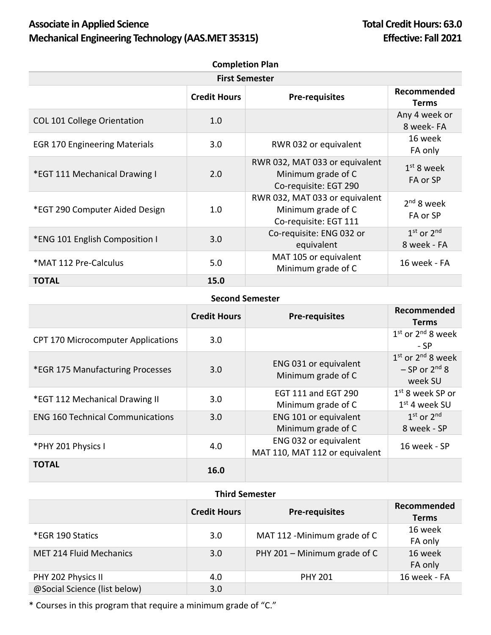## Associate in Applied Science **Total Credit Hours: 63.0 Mechanical Engineering Technology (AAS.MET 35315) Effective: Fall 2021**

| <b>Completion Plan</b>               |                     |                                                                               |                               |  |
|--------------------------------------|---------------------|-------------------------------------------------------------------------------|-------------------------------|--|
| <b>First Semester</b>                |                     |                                                                               |                               |  |
|                                      | <b>Credit Hours</b> | <b>Pre-requisites</b>                                                         | Recommended<br><b>Terms</b>   |  |
| <b>COL 101 College Orientation</b>   | 1.0                 |                                                                               | Any 4 week or<br>8 week-FA    |  |
| <b>EGR 170 Engineering Materials</b> | 3.0                 | RWR 032 or equivalent                                                         | 16 week<br>FA only            |  |
| *EGT 111 Mechanical Drawing I        | 2.0                 | RWR 032, MAT 033 or equivalent<br>Minimum grade of C<br>Co-requisite: EGT 290 | $1st$ 8 week<br>FA or SP      |  |
| *EGT 290 Computer Aided Design       | 1.0                 | RWR 032, MAT 033 or equivalent<br>Minimum grade of C<br>Co-requisite: EGT 111 | $2nd$ 8 week<br>FA or SP      |  |
| *ENG 101 English Composition I       | 3.0                 | Co-requisite: ENG 032 or<br>equivalent                                        | $1st$ or $2nd$<br>8 week - FA |  |
| *MAT 112 Pre-Calculus                | 5.0                 | MAT 105 or equivalent<br>Minimum grade of C                                   | 16 week - FA                  |  |
| <b>TOTAL</b>                         | 15.0                |                                                                               |                               |  |

## **Second Semester**

|                                           | <b>Credit Hours</b> | <b>Pre-requisites</b>                                   | Recommended<br><b>Terms</b>                           |
|-------------------------------------------|---------------------|---------------------------------------------------------|-------------------------------------------------------|
| <b>CPT 170 Microcomputer Applications</b> | 3.0                 |                                                         | $1st$ or $2nd$ 8 week<br>- SP                         |
| *EGR 175 Manufacturing Processes          | 3.0                 | ENG 031 or equivalent<br>Minimum grade of C             | $1st$ or $2nd$ 8 week<br>$-$ SP or $2nd$ 8<br>week SU |
| *EGT 112 Mechanical Drawing II            | 3.0                 | <b>EGT 111 and EGT 290</b><br>Minimum grade of C        | $1st$ 8 week SP or<br>$1st$ 4 week SU                 |
| <b>ENG 160 Technical Communications</b>   | 3.0                 | ENG 101 or equivalent<br>Minimum grade of C             | $1st$ or $2nd$<br>8 week - SP                         |
| *PHY 201 Physics I                        | 4.0                 | ENG 032 or equivalent<br>MAT 110, MAT 112 or equivalent | 16 week - SP                                          |
| <b>TOTAL</b>                              | 16.0                |                                                         |                                                       |

## **Third Semester**

|                                | <b>Credit Hours</b> | <b>Pre-requisites</b>        | Recommended<br><b>Terms</b> |
|--------------------------------|---------------------|------------------------------|-----------------------------|
| *EGR 190 Statics               | 3.0                 | MAT 112 - Minimum grade of C | 16 week<br>FA only          |
| <b>MET 214 Fluid Mechanics</b> | 3.0                 | PHY 201 - Minimum grade of C | 16 week<br>FA only          |
| PHY 202 Physics II             | 4.0                 | <b>PHY 201</b>               | 16 week - FA                |
| @Social Science (list below)   | 3.0                 |                              |                             |

\* Courses in this program that require a minimum grade of "C."